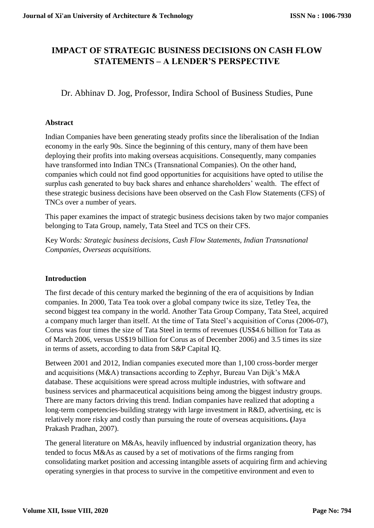# **IMPACT OF STRATEGIC BUSINESS DECISIONS ON CASH FLOW STATEMENTS – A LENDER'S PERSPECTIVE**

Dr. Abhinav D. Jog, Professor, Indira School of Business Studies, Pune

# **Abstract**

Indian Companies have been generating steady profits since the liberalisation of the Indian economy in the early 90s. Since the beginning of this century, many of them have been deploying their profits into making overseas acquisitions. Consequently, many companies have transformed into Indian TNCs (Transnational Companies). On the other hand, companies which could not find good opportunities for acquisitions have opted to utilise the surplus cash generated to buy back shares and enhance shareholders' wealth. The effect of these strategic business decisions have been observed on the Cash Flow Statements (CFS) of TNCs over a number of years.

This paper examines the impact of strategic business decisions taken by two major companies belonging to Tata Group, namely, Tata Steel and TCS on their CFS.

Key Words*: Strategic business decisions, Cash Flow Statements, Indian Transnational Companies, Overseas acquisitions.* 

# **Introduction**

The first decade of this century marked the beginning of the era of acquisitions by Indian companies. In 2000, Tata Tea took over a global company twice its size, Tetley Tea, the second biggest tea company in the world. Another Tata Group Company, Tata Steel, acquired a company much larger than itself. At the time of Tata Steel's acquisition of Corus (2006-07), Corus was four times the size of Tata Steel in terms of revenues (US\$4.6 billion for Tata as of March 2006, versus US\$19 billion for Corus as of December 2006) and 3.5 times its size in terms of assets, according to data from S&P Capital IQ.

Between 2001 and 2012, Indian companies executed more than 1,100 cross-border merger and acquisitions (M&A) transactions according to Zephyr, Bureau Van Dijk's M&A database. These acquisitions were spread across multiple industries, with software and business services and pharmaceutical acquisitions being among the biggest industry groups. There are many factors driving this trend. Indian companies have realized that adopting a long-term competencies-building strategy with large investment in R&D, advertising, etc is relatively more risky and costly than pursuing the route of overseas acquisitions**. (**Jaya Prakash Pradhan, 2007).

The general literature on M&As, heavily influenced by industrial organization theory, has tended to focus M&As as caused by a set of motivations of the firms ranging from consolidating market position and accessing intangible assets of acquiring firm and achieving operating synergies in that process to survive in the competitive environment and even to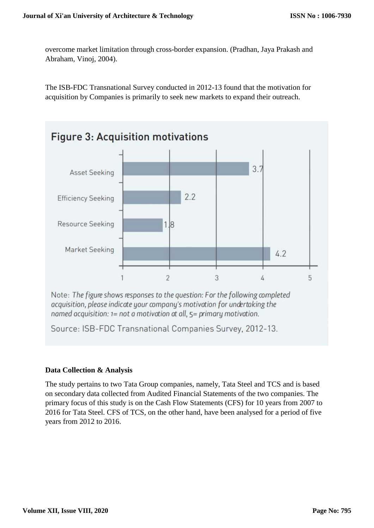overcome market limitation through cross-border expansion. (Pradhan, Jaya Prakash and Abraham, Vinoj, 2004).

The ISB-FDC Transnational Survey conducted in 2012-13 found that the motivation for acquisition by Companies is primarily to seek new markets to expand their outreach.



Source: ISB-FDC Transnational Companies Survey, 2012-13.

# **Data Collection & Analysis**

The study pertains to two Tata Group companies, namely, Tata Steel and TCS and is based on secondary data collected from Audited Financial Statements of the two companies. The primary focus of this study is on the Cash Flow Statements (CFS) for 10 years from 2007 to 2016 for Tata Steel. CFS of TCS, on the other hand, have been analysed for a period of five years from 2012 to 2016.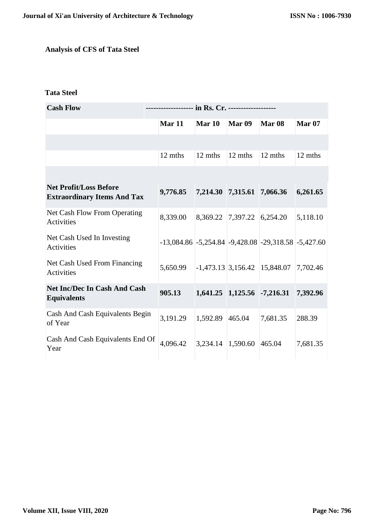# **Analysis of CFS of Tata Steel**

## **Tata Steel**

| <b>Cash Flow</b>                                                    |               |                 |                             |                                                               |               |  |
|---------------------------------------------------------------------|---------------|-----------------|-----------------------------|---------------------------------------------------------------|---------------|--|
|                                                                     | <b>Mar 11</b> | <b>Mar 10</b>   | Mar <sub>09</sub>           | Mar <sub>08</sub>                                             | <b>Mar 07</b> |  |
|                                                                     |               |                 |                             |                                                               |               |  |
|                                                                     | 12 mths       | 12 mths         | 12 mths                     | 12 mths                                                       | 12 mths       |  |
|                                                                     |               |                 |                             |                                                               |               |  |
| <b>Net Profit/Loss Before</b><br><b>Extraordinary Items And Tax</b> | 9,776.85      |                 | 7,214.30 7,315.61 7,066.36  |                                                               | 6,261.65      |  |
| Net Cash Flow From Operating<br>Activities                          | 8,339.00      |                 | 8,369.22 7,397.22 6,254.20  |                                                               | 5,118.10      |  |
| Net Cash Used In Investing<br>Activities                            |               |                 |                             | $-13,084.86$ $-5,254.84$ $-9,428.08$ $-29,318.58$ $-5,427.60$ |               |  |
| Net Cash Used From Financing<br>Activities                          | 5,650.99      |                 |                             | $-1,473.13$ 3,156.42 15,848.07 7,702.46                       |               |  |
| <b>Net Inc/Dec In Cash And Cash</b><br><b>Equivalents</b>           | 905.13        |                 | 1,641.25 1,125.56 -7,216.31 |                                                               | 7,392.96      |  |
| Cash And Cash Equivalents Begin<br>of Year                          | 3,191.29      | 1,592.89 465.04 |                             | 7,681.35                                                      | 288.39        |  |
| Cash And Cash Equivalents End Of<br>Year                            | 4.096.42      |                 | 3,234.14 1,590.60 465.04    |                                                               | 7,681.35      |  |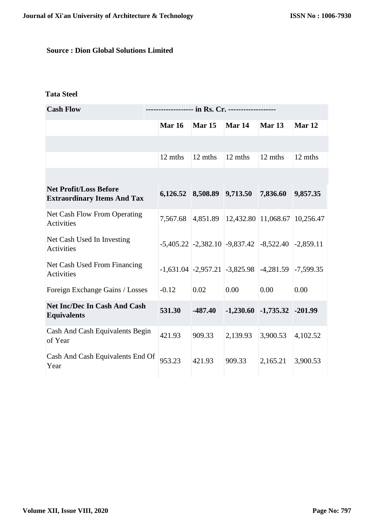# **Source : Dion Global Solutions Limited**

# **Tata Steel**

| <b>Cash Flow</b>                                                    |               |               |                                                             |                                   |          |  |
|---------------------------------------------------------------------|---------------|---------------|-------------------------------------------------------------|-----------------------------------|----------|--|
|                                                                     | <b>Mar 16</b> | <b>Mar 15</b> | Mar 14                                                      | Mar <sub>13</sub>                 | Mar 12   |  |
|                                                                     |               |               |                                                             |                                   |          |  |
|                                                                     | 12 mths       | 12 mths       | 12 mths                                                     | 12 mths                           | 12 mths  |  |
|                                                                     |               |               |                                                             |                                   |          |  |
| <b>Net Profit/Loss Before</b><br><b>Extraordinary Items And Tax</b> |               |               | 6,126.52 8,508.89 9,713.50 7,836.60                         |                                   | 9,857.35 |  |
| Net Cash Flow From Operating<br>Activities                          |               |               | 7,567.68 4,851.89 12,432.80 11,068.67 10,256.47             |                                   |          |  |
| Net Cash Used In Investing<br>Activities                            |               |               | $-5,405.22$ $-2,382.10$ $-9,837.42$ $-8,522.40$ $-2,859.11$ |                                   |          |  |
| Net Cash Used From Financing<br>Activities                          |               |               | $-1,631.04$ $-2,957.21$ $-3,825.98$ $-4,281.59$ $-7,599.35$ |                                   |          |  |
| Foreign Exchange Gains / Losses                                     | $-0.12$       | 0.02          | 0.00                                                        | 0.00                              | 0.00     |  |
| <b>Net Inc/Dec In Cash And Cash</b><br><b>Equivalents</b>           | 531.30        | $-487.40$     |                                                             | $-1,230.60$ $-1,735.32$ $-201.99$ |          |  |
| Cash And Cash Equivalents Begin<br>of Year                          | 421.93        | 909.33        | 2,139.93                                                    | 3,900.53                          | 4,102.52 |  |
| Cash And Cash Equivalents End Of<br>Year                            | 953.23        | 421.93        | 909.33                                                      | 2,165.21                          | 3,900.53 |  |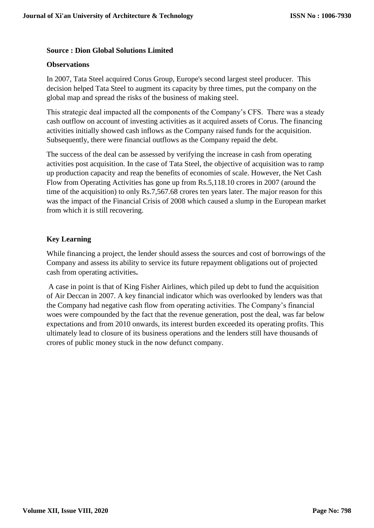## **Source : Dion Global Solutions Limited**

### **Observations**

In 2007, Tata Steel acquired Corus Group, Europe's second largest steel producer. This decision helped Tata Steel to augment its capacity by three times, put the company on the global map and spread the risks of the business of making steel.

This strategic deal impacted all the components of the Company's CFS. There was a steady cash outflow on account of investing activities as it acquired assets of Corus. The financing activities initially showed cash inflows as the Company raised funds for the acquisition. Subsequently, there were financial outflows as the Company repaid the debt.

The success of the deal can be assessed by verifying the increase in cash from operating activities post acquisition. In the case of Tata Steel, the objective of acquisition was to ramp up production capacity and reap the benefits of economies of scale. However, the Net Cash Flow from Operating Activities has gone up from Rs.5,118.10 crores in 2007 (around the time of the acquisition) to only Rs.7,567.68 crores ten years later. The major reason for this was the impact of the Financial Crisis of 2008 which caused a slump in the European market from which it is still recovering.

## **Key Learning**

While financing a project, the lender should assess the sources and cost of borrowings of the Company and assess its ability to service its future repayment obligations out of projected cash from operating activities**.**

A case in point is that of King Fisher Airlines, which piled up debt to fund the acquisition of Air Deccan in 2007. A key financial indicator which was overlooked by lenders was that the Company had negative cash flow from operating activities. The Company's financial woes were compounded by the fact that the revenue generation, post the deal, was far below expectations and from 2010 onwards, its interest burden exceeded its operating profits. This ultimately lead to closure of its business operations and the lenders still have thousands of crores of public money stuck in the now defunct company.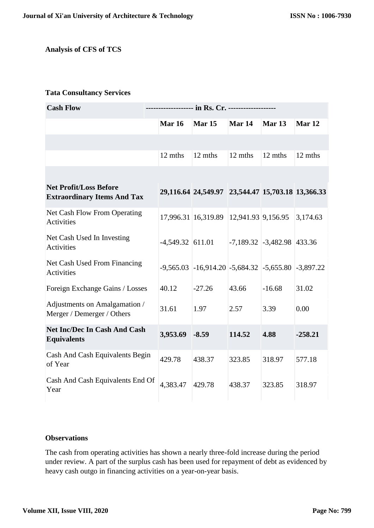## **Analysis of CFS of TCS**

### **Tata Consultancy Services**

| <b>Cash Flow</b>                                                    |                    |                                                              |                    |                                |                   |
|---------------------------------------------------------------------|--------------------|--------------------------------------------------------------|--------------------|--------------------------------|-------------------|
|                                                                     | <b>Mar 16</b>      | Mar <sub>15</sub>                                            | Mar 14             | Mar 13                         | Mar <sub>12</sub> |
|                                                                     |                    |                                                              |                    |                                |                   |
|                                                                     | 12 mths            | 12 mths                                                      | 12 mths            | 12 mths                        | 12 mths           |
|                                                                     |                    |                                                              |                    |                                |                   |
| <b>Net Profit/Loss Before</b><br><b>Extraordinary Items And Tax</b> |                    | 29,116.64 24,549.97 23,544.47 15,703.18 13,366.33            |                    |                                |                   |
| Net Cash Flow From Operating<br><b>Activities</b>                   |                    | 17,996.31 16,319.89                                          | 12,941.93 9,156.95 |                                | 3,174.63          |
| Net Cash Used In Investing<br>Activities                            | $-4,549.32$ 611.01 |                                                              |                    | $-7,189.32$ $-3,482.98$ 433.36 |                   |
| Net Cash Used From Financing<br><b>Activities</b>                   |                    | $-9,565.03$ $-16,914.20$ $-5,684.32$ $-5,655.80$ $-3,897.22$ |                    |                                |                   |
| Foreign Exchange Gains / Losses                                     | 40.12              | $-27.26$                                                     | 43.66              | $-16.68$                       | 31.02             |
| Adjustments on Amalgamation /<br>Merger / Demerger / Others         | 31.61              | 1.97                                                         | 2.57               | 3.39                           | 0.00              |
| <b>Net Inc/Dec In Cash And Cash</b><br><b>Equivalents</b>           | 3,953.69           | $-8.59$                                                      | 114.52             | 4.88                           | $-258.21$         |
| Cash And Cash Equivalents Begin<br>of Year                          | 429.78             | 438.37                                                       | 323.85             | 318.97                         | 577.18            |
| Cash And Cash Equivalents End Of<br>Year                            | 4,383.47           | 429.78                                                       | 438.37             | 323.85                         | 318.97            |

## **Observations**

The cash from operating activities has shown a nearly three-fold increase during the period under review. A part of the surplus cash has been used for repayment of debt as evidenced by heavy cash outgo in financing activities on a year-on-year basis.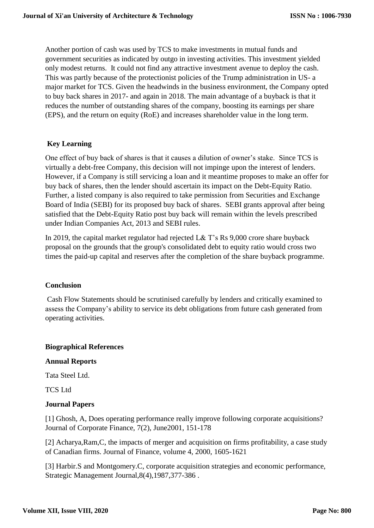Another portion of cash was used by TCS to make investments in mutual funds and government securities as indicated by outgo in investing activities. This investment yielded only modest returns. It could not find any attractive investment avenue to deploy the cash. This was partly because of the protectionist policies of the Trump administration in US- a major market for TCS. Given the headwinds in the business environment, the Company opted to buy back shares in 2017- and again in 2018. The main advantage of a buyback is that it reduces the number of outstanding shares of the company, boosting its earnings per share (EPS), and the return on equity (RoE) and increases shareholder value in the long term.

## **Key Learning**

One effect of buy back of shares is that it causes a dilution of owner's stake. Since TCS is virtually a debt-free Company, this decision will not impinge upon the interest of lenders. However, if a Company is still servicing a loan and it meantime proposes to make an offer for buy back of shares, then the lender should ascertain its impact on the Debt-Equity Ratio. Further, a listed company is also required to take permission from Securities and Exchange Board of India (SEBI) for its proposed buy back of shares. SEBI grants approval after being satisfied that the Debt-Equity Ratio post buy back will remain within the levels prescribed under Indian Companies Act, 2013 and SEBI rules.

In 2019, the capital market regulator had rejected L& T's Rs 9,000 crore share buyback proposal on the grounds that the group's consolidated debt to equity ratio would cross two times the paid-up capital and reserves after the completion of the share buyback programme.

### **Conclusion**

Cash Flow Statements should be scrutinised carefully by lenders and critically examined to assess the Company's ability to service its debt obligations from future cash generated from operating activities.

#### **Biographical References**

### **Annual Reports**

Tata Steel Ltd.

TCS Ltd

### **Journal Papers**

[1] Ghosh, A, Does operating performance really improve following corporate acquisitions? Journal of Corporate Finance, 7(2), June2001, 151-178

[2] Acharya,Ram,C, the impacts of merger and acquisition on firms profitability, a case study of Canadian firms. Journal of Finance, volume 4, 2000, 1605-1621

[3] Harbir.S and Montgomery.C, corporate acquisition strategies and economic performance, Strategic Management Journal,8(4),1987,377-386 .